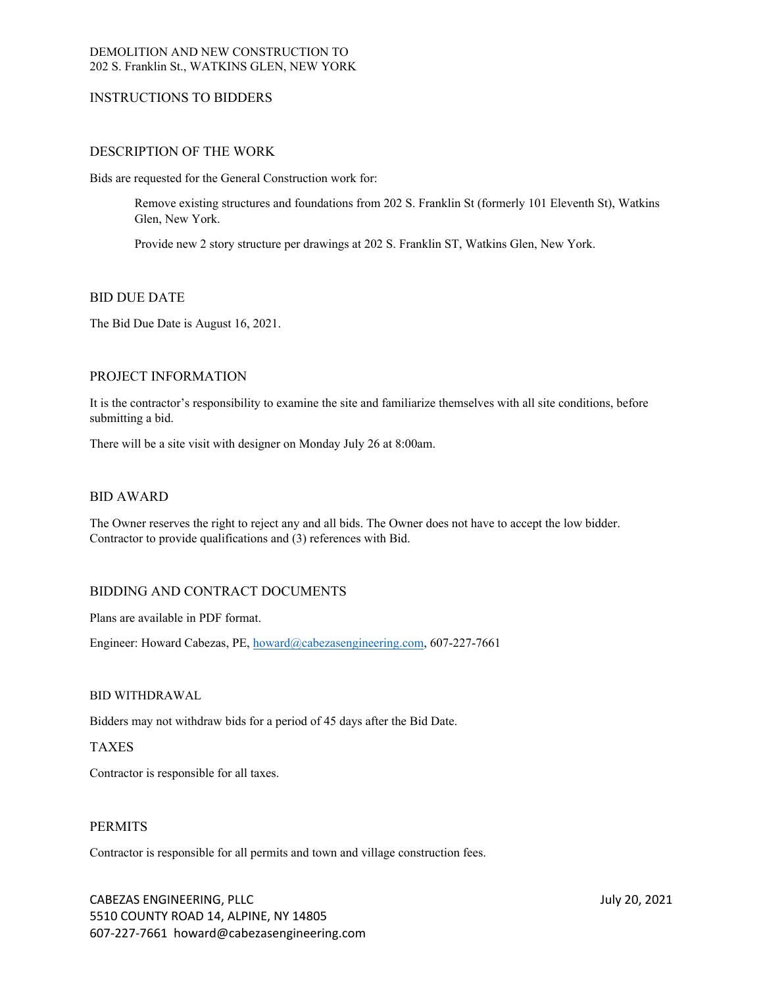# DEMOLITION AND NEW CONSTRUCTION TO 202 S. Franklin St., WATKINS GLEN, NEW YORK

# INSTRUCTIONS TO BIDDERS

# DESCRIPTION OF THE WORK

Bids are requested for the General Construction work for:

Remove existing structures and foundations from 202 S. Franklin St (formerly 101 Eleventh St), Watkins Glen, New York.

Provide new 2 story structure per drawings at 202 S. Franklin ST, Watkins Glen, New York.

# BID DUE DATE

The Bid Due Date is August 16, 2021.

# PROJECT INFORMATION

It is the contractor's responsibility to examine the site and familiarize themselves with all site conditions, before submitting a bid.

There will be a site visit with designer on Monday July 26 at 8:00am.

# BID AWARD

The Owner reserves the right to reject any and all bids. The Owner does not have to accept the low bidder. Contractor to provide qualifications and (3) references with Bid.

# BIDDING AND CONTRACT DOCUMENTS

Plans are available in PDF format.

Engineer: Howard Cabezas, PE, [howard@cabezasengineering.com](mailto:howard@cabezasengineering.com), 607-227-7661

## BID WITHDRAWAL

Bidders may not withdraw bids for a period of 45 days after the Bid Date.

# TAXES

Contractor is responsible for all taxes.

# PERMITS

Contractor is responsible for all permits and town and village construction fees.

CABEZAS ENGINEERING, PLLC July 20, 2021 5510 COUNTY ROAD 14, ALPINE, NY 14805 607-227-7661 howard@cabezasengineering.com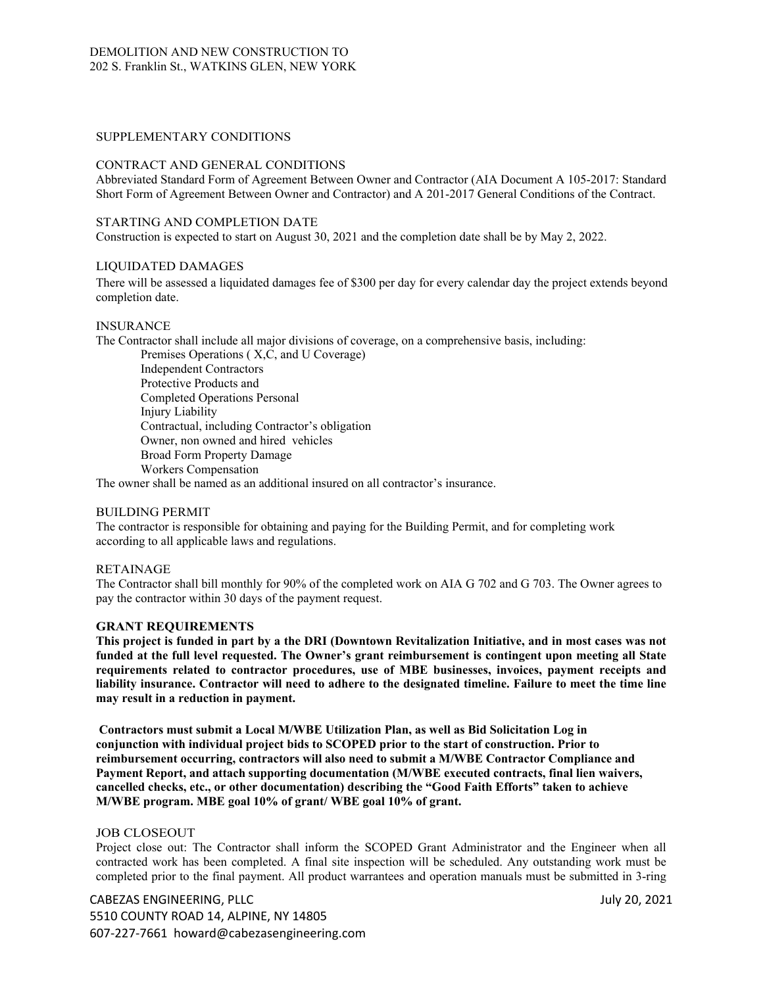## SUPPLEMENTARY CONDITIONS

## CONTRACT AND GENERAL CONDITIONS

Abbreviated Standard Form of Agreement Between Owner and Contractor (AIA Document A 105-2017: Standard Short Form of Agreement Between Owner and Contractor) and A 201-2017 General Conditions of the Contract.

#### STARTING AND COMPLETION DATE

Construction is expected to start on August 30, 2021 and the completion date shall be by May 2, 2022.

#### LIQUIDATED DAMAGES

There will be assessed a liquidated damages fee of \$300 per day for every calendar day the project extends beyond completion date.

#### INSURANCE

The Contractor shall include all major divisions of coverage, on a comprehensive basis, including:

Premises Operations ( X,C, and U Coverage) Independent Contractors Protective Products and Completed Operations Personal Injury Liability Contractual, including Contractor's obligation Owner, non owned and hired vehicles Broad Form Property Damage Workers Compensation

The owner shall be named as an additional insured on all contractor's insurance.

## BUILDING PERMIT

The contractor is responsible for obtaining and paying for the Building Permit, and for completing work according to all applicable laws and regulations.

## RETAINAGE

The Contractor shall bill monthly for 90% of the completed work on AIA G 702 and G 703. The Owner agrees to pay the contractor within 30 days of the payment request.

## **GRANT REQUIREMENTS**

**This project is funded in part by a the DRI (Downtown Revitalization Initiative, and in most cases was not funded at the full level requested. The Owner's grant reimbursement is contingent upon meeting all State requirements related to contractor procedures, use of MBE businesses, invoices, payment receipts and liability insurance. Contractor will need to adhere to the designated timeline. Failure to meet the time line may result in a reduction in payment.**

**Contractors must submit a Local M/WBE Utilization Plan, as well as Bid Solicitation Log in conjunction with individual project bids to SCOPED prior to the start of construction. Prior to reimbursement occurring, contractors will also need to submit a M/WBE Contractor Compliance and Payment Report, and attach supporting documentation (M/WBE executed contracts, final lien waivers, cancelled checks, etc., or other documentation) describing the "Good Faith Efforts" taken to achieve M/WBE program. MBE goal 10% of grant/ WBE goal 10% of grant.**

#### JOB CLOSEOUT

Project close out: The Contractor shall inform the SCOPED Grant Administrator and the Engineer when all contracted work has been completed. A final site inspection will be scheduled. Any outstanding work must be completed prior to the final payment. All product warrantees and operation manuals must be submitted in 3-ring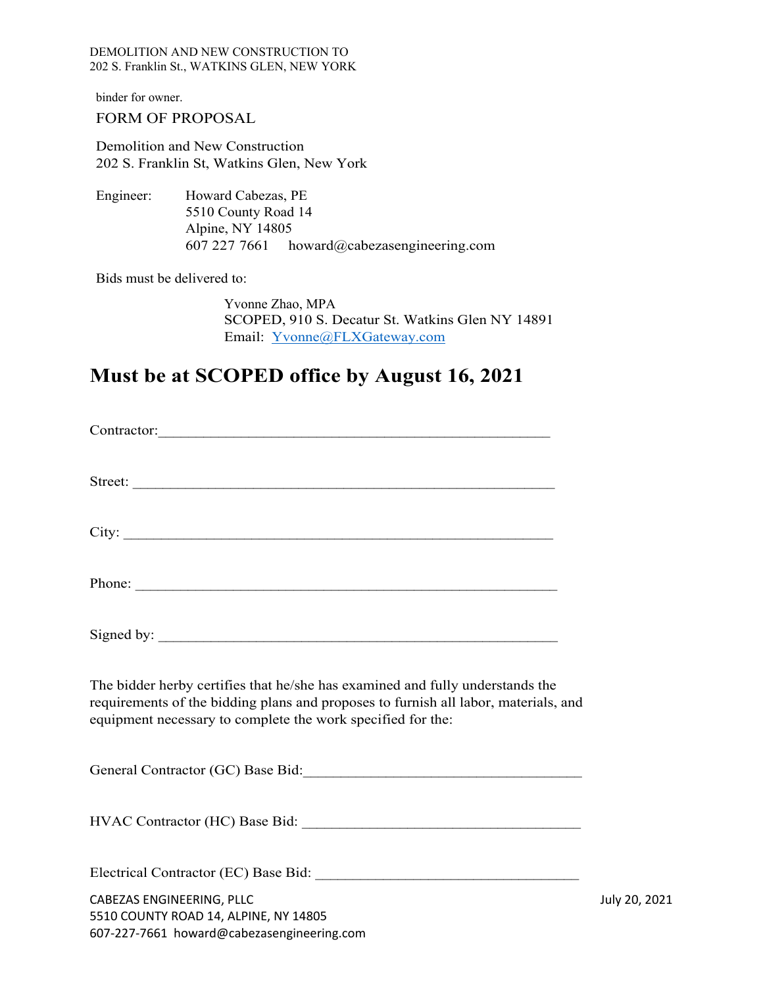DEMOLITION AND NEW CONSTRUCTION TO 202 S. Franklin St., WATKINS GLEN, NEW YORK

binder for owner.

# FORM OF PROPOSAL

Demolition and New Construction 202 S. Franklin St, Watkins Glen, New York

Engineer: Howard Cabezas, PE 5510 County Road 14 Alpine, NY 14805 607 227 7661 howard@cabezasengineering.com

Bids must be delivered to:

Yvonne Zhao, MPA SCOPED, 910 S. Decatur St. Watkins Glen NY 14891 Email: [Yvonne@FLXGateway.com](mailto:Yvonne@flxgateway.com)

# **Must be at SCOPED office by August 16, 2021**

| Phone:                                                                                                                                                                                                                              |               |
|-------------------------------------------------------------------------------------------------------------------------------------------------------------------------------------------------------------------------------------|---------------|
|                                                                                                                                                                                                                                     |               |
| The bidder herby certifies that he/she has examined and fully understands the<br>requirements of the bidding plans and proposes to furnish all labor, materials, and<br>equipment necessary to complete the work specified for the: |               |
|                                                                                                                                                                                                                                     |               |
|                                                                                                                                                                                                                                     |               |
|                                                                                                                                                                                                                                     |               |
| CABEZAS ENGINEERING, PLLC<br>5510 COUNTY ROAD 14, ALPINE, NY 14805<br>607-227-7661 howard@cabezasengineering.com                                                                                                                    | July 20, 2021 |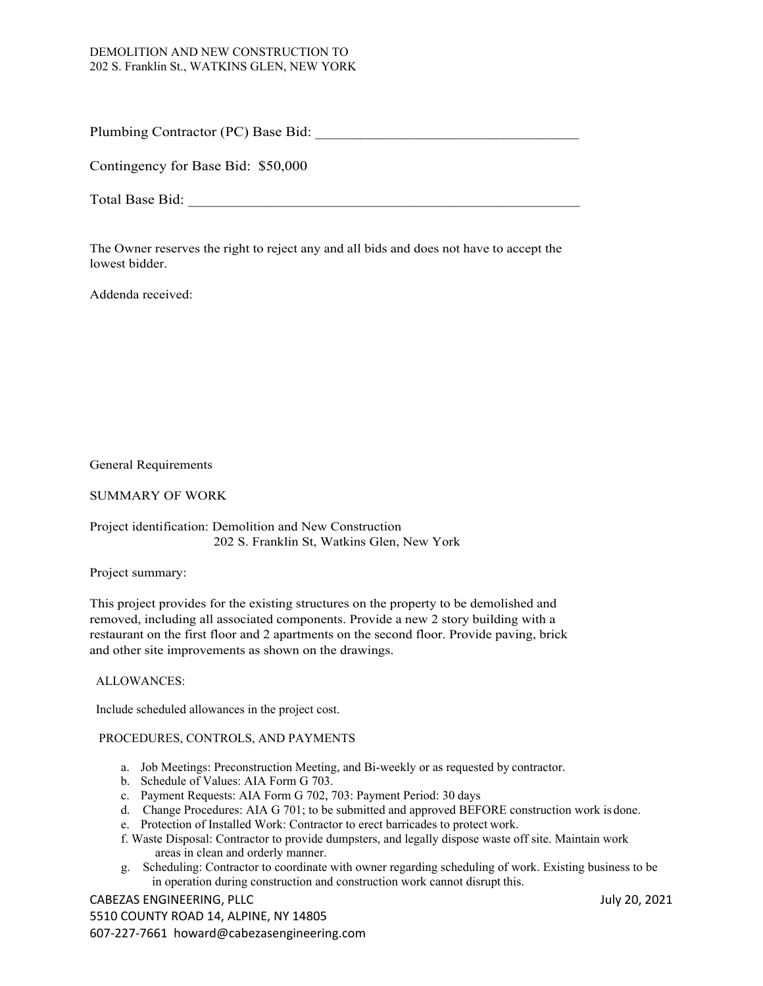# DEMOLITION AND NEW CONSTRUCTION TO 202 S. Franklin St., WATKINS GLEN, NEW YORK

Plumbing Contractor (PC) Base Bid:

Contingency for Base Bid: \$50,000

Total Base Bid:

The Owner reserves the right to reject any and all bids and does not have to accept the lowest bidder.

Addenda received:

General Requirements

SUMMARY OF WORK

Project identification: Demolition and New Construction 202 S. Franklin St, Watkins Glen, New York

Project summary:

This project provides for the existing structures on the property to be demolished and removed, including all associated components. Provide a new 2 story building with a restaurant on the first floor and 2 apartments on the second floor. Provide paving, brick and other site improvements as shown on the drawings.

# ALLOWANCES:

Include scheduled allowances in the project cost.

# PROCEDURES, CONTROLS, AND PAYMENTS

- a. Job Meetings: Preconstruction Meeting, and Bi-weekly or as requested by contractor.
- b. Schedule of Values: AIA Form G 703.
- c. Payment Requests: AIA Form G 702, 703: Payment Period: 30 days
- d. Change Procedures: AIA G 701; to be submitted and approved BEFORE construction work is done.
- e. Protection of Installed Work: Contractor to erect barricades to protect work.
- f. Waste Disposal: Contractor to provide dumpsters, and legally dispose waste off site. Maintain work areas in clean and orderly manner.
- g. Scheduling: Contractor to coordinate with owner regarding scheduling of work. Existing business to be in operation during construction and construction work cannot disrupt this.